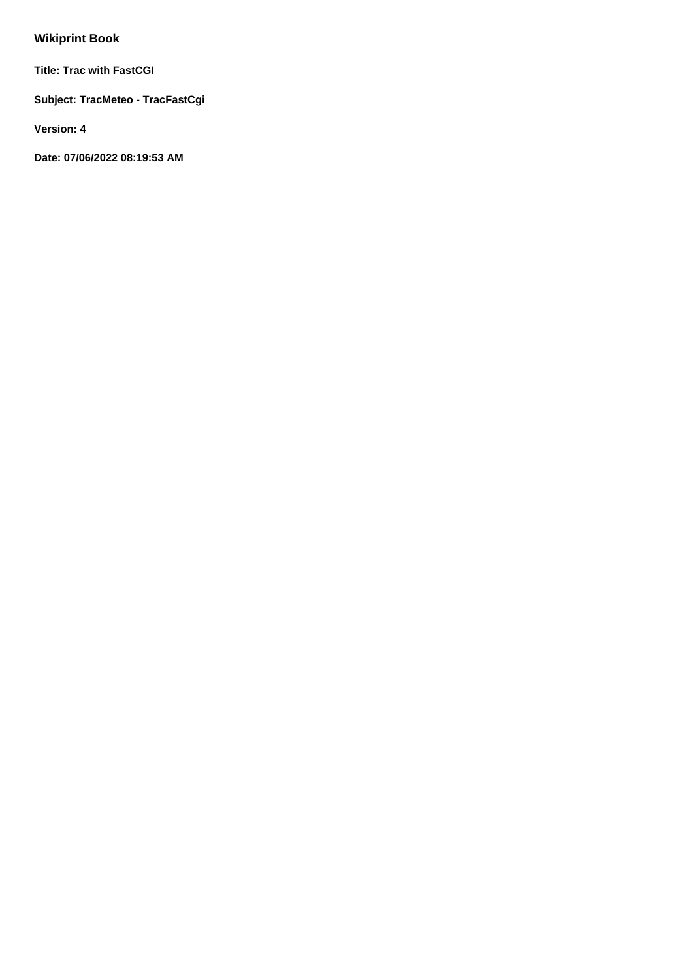# **Wikiprint Book**

**Title: Trac with FastCGI**

**Subject: TracMeteo - TracFastCgi**

**Version: 4**

**Date: 07/06/2022 08:19:53 AM**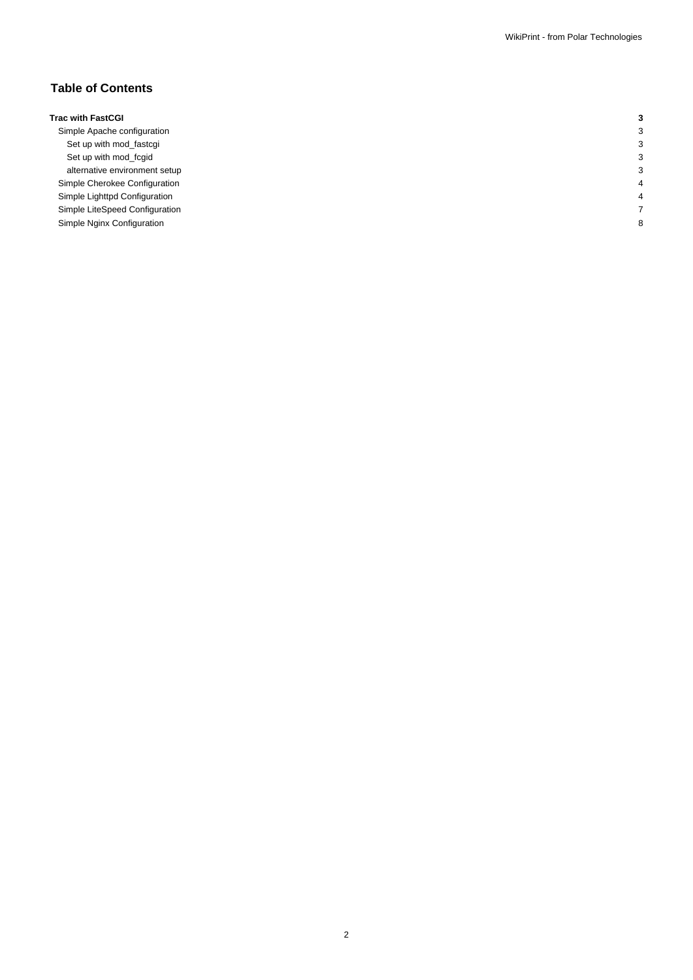## **Table of Contents**

## **Trac with FastCGI 3**

Simple Apache configuration 33 Set up with mod\_fastcgi 3 Set up with mod\_fcgid 3 alternative environment setup 3 Simple Cherokee Configuration 4 Simple Lighttpd Configuration 4 Simple LiteSpeed Configuration 7 Simple Nginx Configuration 8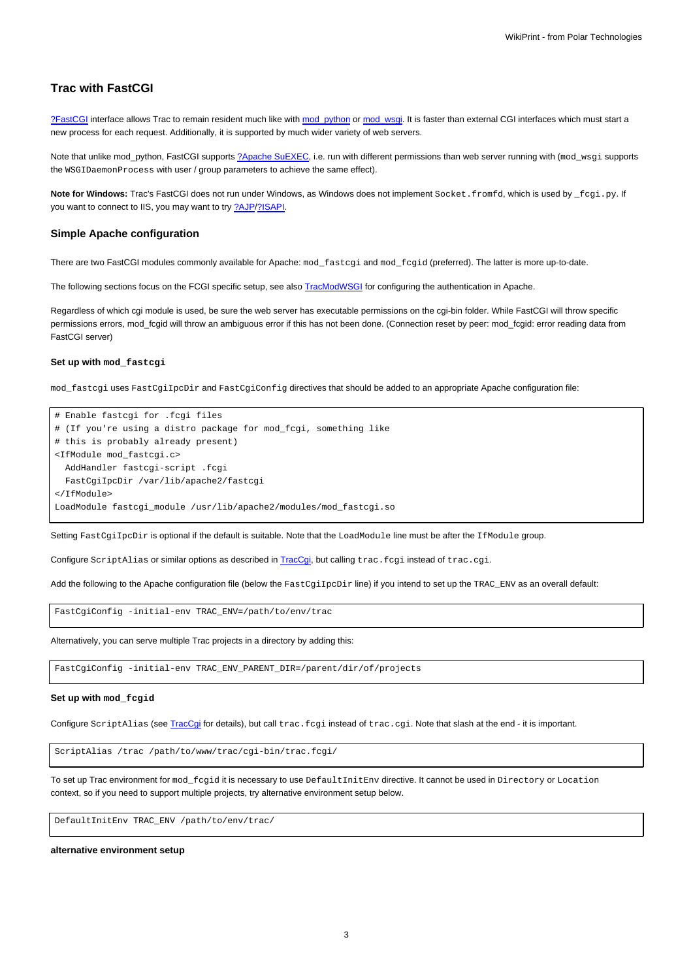## **Trac with FastCGI**

[?FastCGI](http://www.fastcgi.com/) interface allows Trac to remain resident much like with [mod\\_python](https://meteo.unican.es/trac/wiki/TracModPython) or [mod\\_wsgi.](https://meteo.unican.es/trac/wiki/TracModWSGI) It is faster than external CGI interfaces which must start a new process for each request. Additionally, it is supported by much wider variety of web servers.

Note that unlike mod\_python, FastCGI supports [?Apache SuEXEC](http://httpd.apache.org/docs/suexec.html), i.e. run with different permissions than web server running with (mod\_wsgi supports the WSGIDaemonProcess with user / group parameters to achieve the same effect).

Note for Windows: Trac's FastCGI does not run under Windows, as Windows does not implement Socket.fromfd, which is used by \_fcgi.py. If you want to connect to IIS, you may want to try [?AJP/?ISAPI](http://trac.edgewall.org/intertrac/TracOnWindowsIisAjp).

#### **Simple Apache configuration**

There are two FastCGI modules commonly available for Apache: mod\_fastcgi and mod\_fcgid (preferred). The latter is more up-to-date.

The following sections focus on the FCGI specific setup, see also [TracModWSGI](https://meteo.unican.es/trac/wiki/TracModWSGI#ConfiguringAuthentication) for configuring the authentication in Apache.

Regardless of which cgi module is used, be sure the web server has executable permissions on the cgi-bin folder. While FastCGI will throw specific permissions errors, mod\_fcgid will throw an ambiguous error if this has not been done. (Connection reset by peer: mod\_fcgid: error reading data from FastCGI server)

#### **Set up with mod\_fastcgi**

mod\_fastcgi uses FastCgiIpcDir and FastCgiConfig directives that should be added to an appropriate Apache configuration file:

```
# Enable fastcgi for .fcgi files
# (If you're using a distro package for mod_fcgi, something like
# this is probably already present)
<IfModule mod_fastcgi.c>
  AddHandler fastcgi-script .fcgi
  FastCgiIpcDir /var/lib/apache2/fastcgi
</IfModule>
LoadModule fastcgi_module /usr/lib/apache2/modules/mod_fastcgi.so
```
Setting FastCgiIpcDir is optional if the default is suitable. Note that the LoadModule line must be after the IfModule group.

Configure ScriptAlias or similar options as described in [TracCgi](https://meteo.unican.es/trac/wiki/TracCgi), but calling trac.fcgi instead of trac.cgi.

Add the following to the Apache configuration file (below the FastCgiIpcDir line) if you intend to set up the TRAC\_ENV as an overall default:

FastCgiConfig -initial-env TRAC\_ENV=/path/to/env/trac

Alternatively, you can serve multiple Trac projects in a directory by adding this:

FastCgiConfig -initial-env TRAC\_ENV\_PARENT\_DIR=/parent/dir/of/projects

#### **Set up with mod\_fcgid**

Configure ScriptAlias (see [TracCgi](https://meteo.unican.es/trac/wiki/TracCgi) for details), but call trac.fcgi instead of trac.cgi. Note that slash at the end - it is important.

ScriptAlias /trac /path/to/www/trac/cgi-bin/trac.fcgi/

To set up Trac environment for mod\_fcgid it is necessary to use DefaultInitEnv directive. It cannot be used in Directory or Location context, so if you need to support multiple projects, try alternative environment setup below.

DefaultInitEnv TRAC\_ENV /path/to/env/trac/

**alternative environment setup**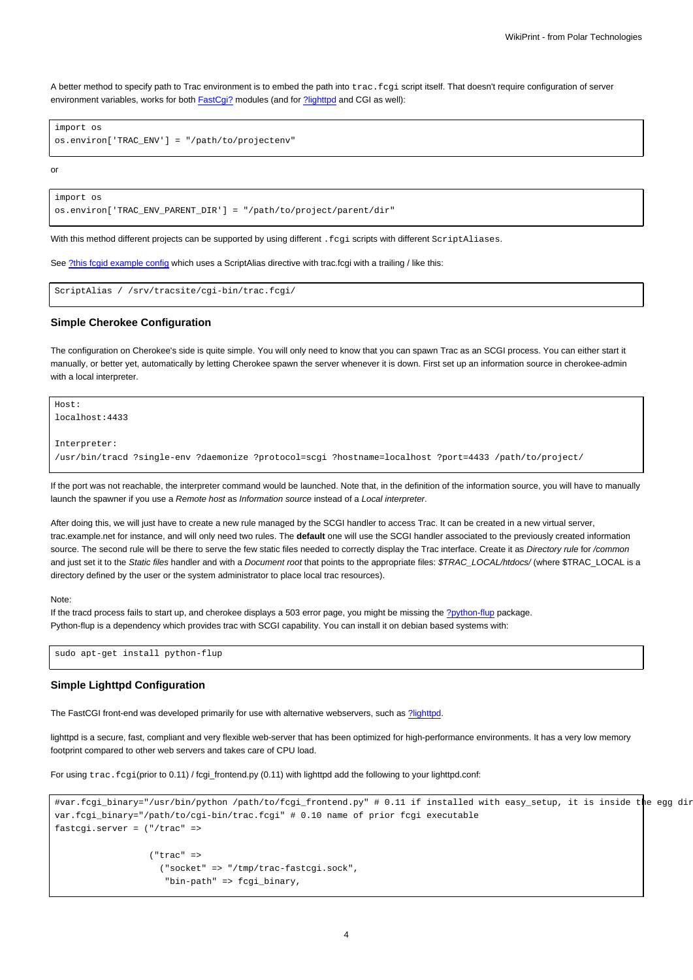A better method to specify path to Trac environment is to embed the path into trac.fcgi script itself. That doesn't require configuration of server environment variables, works for both FastCgi? modules (and for [?lighttpd](http://www.lighttpd.net/) and CGI as well):

```
import os
os.environ['TRAC_ENV'] = "/path/to/projectenv"
```
or

```
import os
os.environ['TRAC_ENV_PARENT_DIR'] = "/path/to/project/parent/dir"
```
With this method different projects can be supported by using different . fcgi scripts with different ScriptAliases.

See [?this fcgid example config](https://coderanger.net/~coderanger/httpd/fcgi_example.conf) which uses a ScriptAlias directive with trac.fcgi with a trailing / like this:

```
ScriptAlias / /srv/tracsite/cgi-bin/trac.fcgi/
```
#### **Simple Cherokee Configuration**

The configuration on Cherokee's side is quite simple. You will only need to know that you can spawn Trac as an SCGI process. You can either start it manually, or better yet, automatically by letting Cherokee spawn the server whenever it is down. First set up an information source in cherokee-admin with a local interpreter.

```
Host:
localhost:4433
Interpreter:
/usr/bin/tracd ?single-env ?daemonize ?protocol=scgi ?hostname=localhost ?port=4433 /path/to/project/
```
If the port was not reachable, the interpreter command would be launched. Note that, in the definition of the information source, you will have to manually launch the spawner if you use a Remote host as Information source instead of a Local interpreter.

After doing this, we will just have to create a new rule managed by the SCGI handler to access Trac. It can be created in a new virtual server, trac.example.net for instance, and will only need two rules. The **default** one will use the SCGI handler associated to the previously created information source. The second rule will be there to serve the few static files needed to correctly display the Trac interface. Create it as Directory rule for /common and just set it to the Static files handler and with a Document root that points to the appropriate files: \$TRAC\_LOCAL/htdocs/ (where \$TRAC\_LOCAL is a directory defined by the user or the system administrator to place local trac resources).

#### Note:

If the tracd process fails to start up, and cherokee displays a 503 error page, you might be missing the [?python-flup](http://trac.saddi.com/flup) package. Python-flup is a dependency which provides trac with SCGI capability. You can install it on debian based systems with:

```
sudo apt-get install python-flup
```
#### **Simple Lighttpd Configuration**

The FastCGI front-end was developed primarily for use with alternative webservers, such as [?lighttpd](http://www.lighttpd.net/).

lighttpd is a secure, fast, compliant and very flexible web-server that has been optimized for high-performance environments. It has a very low memory footprint compared to other web servers and takes care of CPU load.

For using trac.fcgi(prior to 0.11) / fcgi\_frontend.py (0.11) with lighttpd add the following to your lighttpd.conf:

```
#var.fcgi_binary="/usr/bin/python /path/to/fcgi_frontend.py" # 0.11 if installed with easy_setup, it is inside the egg dir
var.fcgi_binary="/path/to/cgi-bin/trac.fcgi" # 0.10 name of prior fcgi executable
fastcgi.server = ("/trac" =>
                  ("trac" =>
                    ("socket" => "/tmp/trac-fastcgi.sock",
                     "bin-path" => fcgi_binary,
```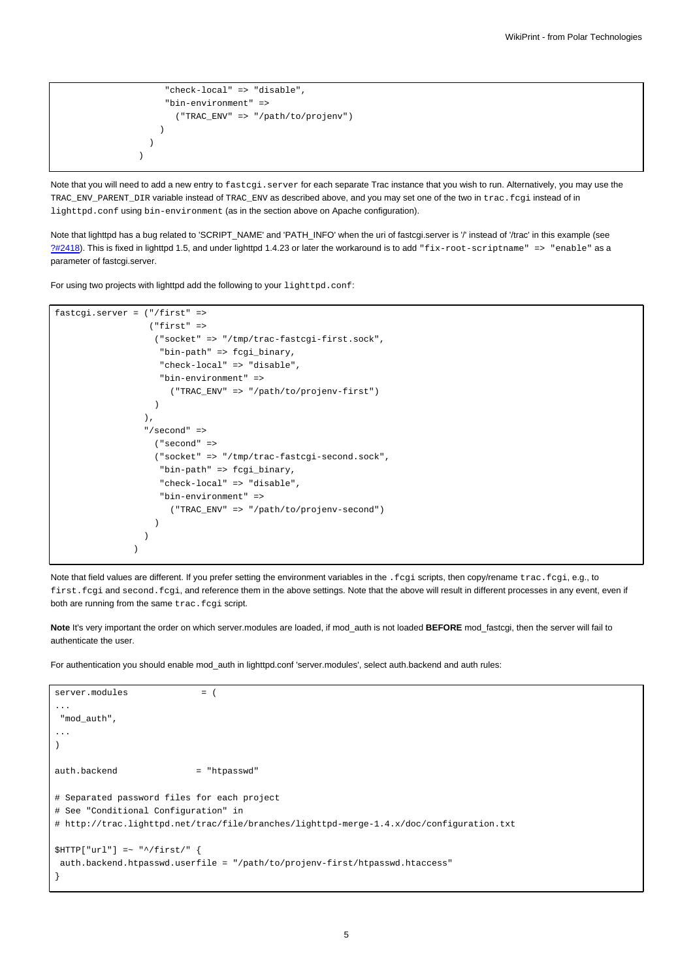```
"check-local" => "disable",
     "bin-environment" =>
       ("TRAC_ENV" => "/path/to/projenv")
    )
 )
)
```
Note that you will need to add a new entry to fastcgi.server for each separate Trac instance that you wish to run. Alternatively, you may use the TRAC\_ENV\_PARENT\_DIR variable instead of TRAC\_ENV as described above, and you may set one of the two in trac.fcgi instead of in lighttpd.conf using bin-environment (as in the section above on Apache configuration).

Note that lighttpd has a bug related to 'SCRIPT\_NAME' and 'PATH\_INFO' when the uri of fastcgi.server is '/' instead of '/trac' in this example (see [?#2418\)](http://trac.edgewall.org/intertrac/%232418). This is fixed in lighttpd 1.5, and under lighttpd 1.4.23 or later the workaround is to add "fix-root-scriptname" => "enable" as a parameter of fastcgi.server.

For using two projects with lighttpd add the following to your lighttpd.conf:

```
fastcgi.server = ("/first" =>
                   ("first" =>
                    ("socket" => "/tmp/trac-fastcgi-first.sock",
                     "bin-path" => fcgi_binary,
                     "check-local" => "disable",
                     "bin-environment" =>
                       ("TRAC_ENV" => "/path/to/projenv-first")
                    \lambda\lambda.
                  "/second" =>
                    ("second" =>
                    ("socket" => "/tmp/trac-fastcgi-second.sock",
                     "bin-path" => fcgi_binary,
                     "check-local" => "disable",
                     "bin-environment" =>
                       ("TRAC_ENV" => "/path/to/projenv-second")
                    )
                 )
                \lambda
```
Note that field values are different. If you prefer setting the environment variables in the . fcgi scripts, then copy/rename trac.fcgi, e.g., to first.fcgi and second.fcgi, and reference them in the above settings. Note that the above will result in different processes in any event, even if both are running from the same trac.fcgi script.

Note It's very important the order on which server.modules are loaded, if mod auth is not loaded BEFORE mod fastcgi, then the server will fail to authenticate the user.

For authentication you should enable mod\_auth in lighttpd.conf 'server.modules', select auth.backend and auth rules:

```
server.modules = (
...
 "mod_auth",
...
\lambdaauth.backend = "htpasswd"
# Separated password files for each project
# See "Conditional Configuration" in
# http://trac.lighttpd.net/trac/file/branches/lighttpd-merge-1.4.x/doc/configuration.txt
$HTTP['url"] = ~ "^\prime /first/"auth.backend.htpasswd.userfile = "/path/to/projenv-first/htpasswd.htaccess"
}
```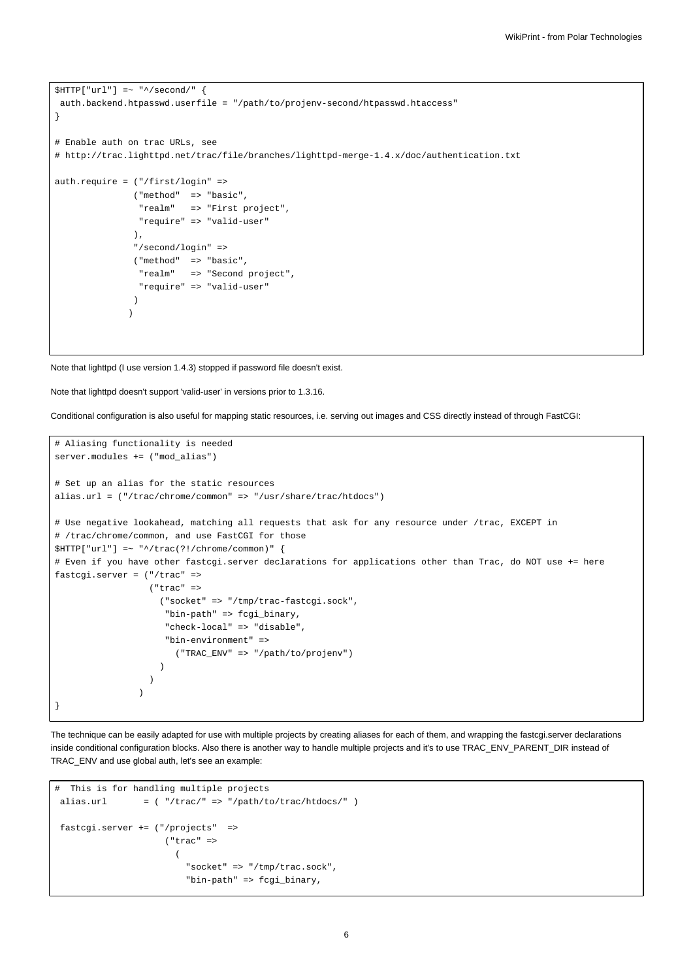```
$HTTP["url"] =~ "^/second/" {
 auth.backend.htpasswd.userfile = "/path/to/projenv-second/htpasswd.htaccess"
}
# Enable auth on trac URLs, see
# http://trac.lighttpd.net/trac/file/branches/lighttpd-merge-1.4.x/doc/authentication.txt
auth.require = ("/first/login" =>
               ("method" => "basic",
                "realm" => "First project",
                "require" => "valid-user"
               ),
               "/second/login" =>
               ("method" => "basic",
                "realm" => "Second project",
                "require" => "valid-user"
               )
              )
```
Note that lighttpd (I use version 1.4.3) stopped if password file doesn't exist.

Note that lighttpd doesn't support 'valid-user' in versions prior to 1.3.16.

Conditional configuration is also useful for mapping static resources, i.e. serving out images and CSS directly instead of through FastCGI:

```
# Aliasing functionality is needed
server.modules += ("mod_alias")
# Set up an alias for the static resources
alias.url = ("/trac/chrome/common" => "/usr/share/trac/htdocs")
# Use negative lookahead, matching all requests that ask for any resource under /trac, EXCEPT in
# /trac/chrome/common, and use FastCGI for those
$HTTP["url"] =~ "^/trac(?!/chrome/common)" {
# Even if you have other fastcgi.server declarations for applications other than Trac, do NOT use += here
fastcgi.server = ("/trac" =>
                  ("trac" =>
                    ("socket" => "/tmp/trac-fastcgi.sock",
                     "bin-path" => fcgi_binary,
                     "check-local" => "disable",
                     "bin-environment" =>
                       ("TRAC_ENV" => "/path/to/projenv")
                    )
                  )
                \lambda}
```
The technique can be easily adapted for use with multiple projects by creating aliases for each of them, and wrapping the fastcgi.server declarations inside conditional configuration blocks. Also there is another way to handle multiple projects and it's to use TRAC\_ENV\_PARENT\_DIR instead of TRAC\_ENV and use global auth, let's see an example:

```
# This is for handling multiple projects
alias.url = ( */\text{trace}/" => */\text{path}/\text{to}/\text{trace}/\text{htdoes}/" )
fastcgi.server += ("/projects" =>
                        ("trac" =>
                          (
                            "socket" => "/tmp/trac.sock",
                            "bin-path" => fcgi_binary,
```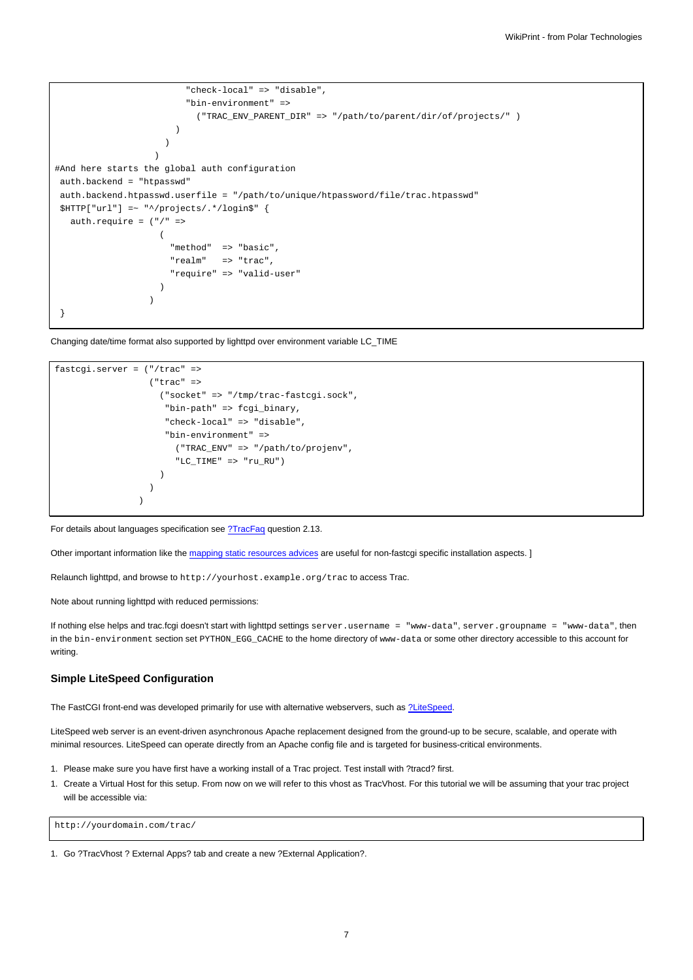```
"check-local" => "disable",
                          "bin-environment" =>
                            ("TRAC_ENV_PARENT_DIR" => "/path/to/parent/dir/of/projects/" )
                        )
                     )
                   \lambda#And here starts the global auth configuration
 auth.backend = "htpasswd"
 auth.backend.htpasswd.userfile = "/path/to/unique/htpassword/file/trac.htpasswd"
$HTTP["url"] =~ "^/projects/.*/login$" {
  auth.require = ("/" =>
                    (
                       "method" => "basic",
                      "realm" => "trac",
                       "require" => "valid-user"
                    )
                  )
 }
```
Changing date/time format also supported by lighttpd over environment variable LC\_TIME

```
fastcgi.server = ("/trac" =>
                    ("trac" =>
                      ("socket" => "/tmp/trac-fastcgi.sock",
                       "bin-path" => fcgi_binary,
                       "check-local" => "disable",
                       "bin-environment" =>
                         ("TRAC_ENV" => "/path/to/projenv",
                         "LC\_TIME" \implies "ru\_RU" \; )\lambda)
                  \lambda
```
For details about languages specification see [?TracFaq](http://trac.edgewall.org/intertrac/TracFaq) question 2.13.

Other important information like the [mapping static resources advices](https://meteo.unican.es/trac/wiki/TracInstall#MappingStaticResources) are useful for non-fastcgi specific installation aspects. ]

Relaunch lighttpd, and browse to http://yourhost.example.org/trac to access Trac.

Note about running lighttpd with reduced permissions:

If nothing else helps and trac.fcgi doesn't start with lighttpd settings server.username = "www-data", server.groupname = "www-data", then in the bin-environment section set PYTHON\_EGG\_CACHE to the home directory of www-data or some other directory accessible to this account for writing.

#### **Simple LiteSpeed Configuration**

The FastCGI front-end was developed primarily for use with alternative webservers, such as [?LiteSpeed.](http://www.litespeedtech.com/)

LiteSpeed web server is an event-driven asynchronous Apache replacement designed from the ground-up to be secure, scalable, and operate with minimal resources. LiteSpeed can operate directly from an Apache config file and is targeted for business-critical environments.

- 1. Please make sure you have first have a working install of a Trac project. Test install with ?tracd? first.
- 1. Create a Virtual Host for this setup. From now on we will refer to this vhost as TracVhost. For this tutorial we will be assuming that your trac project will be accessible via:

http://yourdomain.com/trac/

1. Go ?TracVhost ? External Apps? tab and create a new ?External Application?.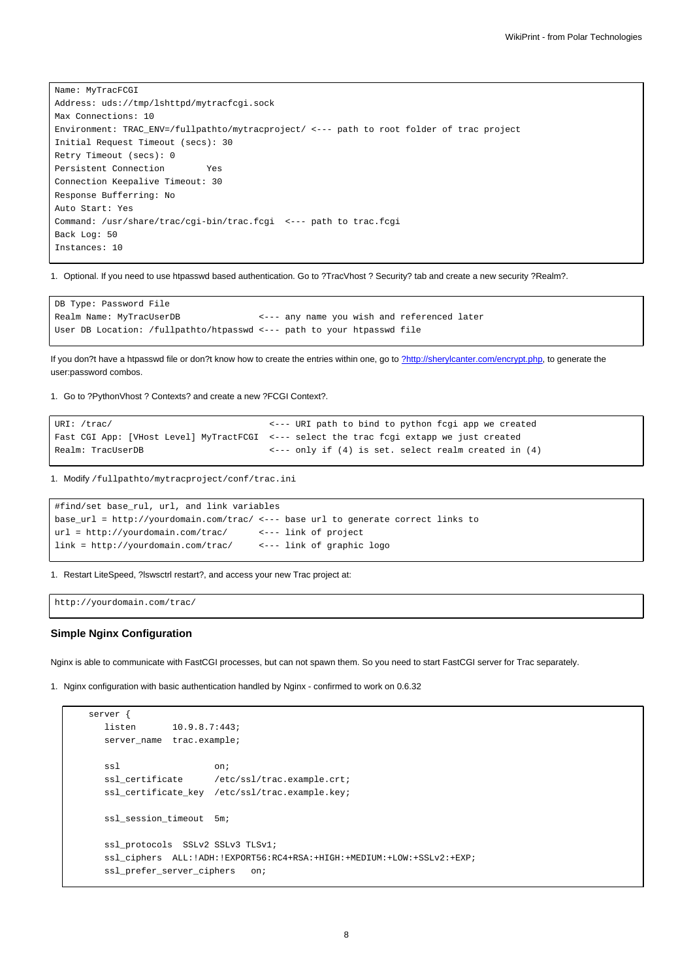Name: MyTracFCGI Address: uds://tmp/lshttpd/mytracfcgi.sock Max Connections: 10 Environment: TRAC\_ENV=/fullpathto/mytracproject/ <--- path to root folder of trac project Initial Request Timeout (secs): 30 Retry Timeout (secs): 0 Persistent Connection Yes Connection Keepalive Timeout: 30 Response Bufferring: No Auto Start: Yes Command: /usr/share/trac/cgi-bin/trac.fcgi <--- path to trac.fcgi Back Log: 50 Instances: 10

1. Optional. If you need to use htpasswd based authentication. Go to ?TracVhost ? Security? tab and create a new security ?Realm?.

```
DB Type: Password File
Realm Name: MyTracUserDB <--- any name you wish and referenced later
User DB Location: /fullpathto/htpasswd <--- path to your htpasswd file
```
If you don?t have a htpasswd file or don?t know how to create the entries within one, go to [?http://sherylcanter.com/encrypt.php](http://sherylcanter.com/encrypt.php), to generate the user:password combos.

1. Go to ?PythonVhost ? Contexts? and create a new ?FCGI Context?.

```
URI: /trac/ \leftarrow --- URI path to bind to python fcgi app we created
Fast CGI App: [VHost Level] MyTractFCGI <--- select the trac fcgi extapp we just created
Realm: TracUserDB \longleftarrow \longleftarrow only if (4) is set. select realm created in (4)
```
1. Modify /fullpathto/mytracproject/conf/trac.ini

```
#find/set base_rul, url, and link variables
base_url = http://yourdomain.com/trac/ <--- base url to generate correct links to
url = http://yourdomain.com/trac/ <--- link of project
link = http://yourdomain.com/trac/ <--- link of graphic logo
```
1. Restart LiteSpeed, ?lswsctrl restart?, and access your new Trac project at:

http://yourdomain.com/trac/

### **Simple Nginx Configuration**

Nginx is able to communicate with FastCGI processes, but can not spawn them. So you need to start FastCGI server for Trac separately.

1. Nginx configuration with basic authentication handled by Nginx - confirmed to work on 0.6.32

```
server {
  listen 10.9.8.7:443;
  server_name trac.example;
  ssl on;
  ssl_certificate /etc/ssl/trac.example.crt;
  ssl_certificate_key /etc/ssl/trac.example.key;
  ssl_session_timeout 5m;
  ssl_protocols SSLv2 SSLv3 TLSv1;
  ssl_ciphers ALL:!ADH:!EXPORT56:RC4+RSA:+HIGH:+MEDIUM:+LOW:+SSLv2:+EXP;
  ssl_prefer_server_ciphers on;
```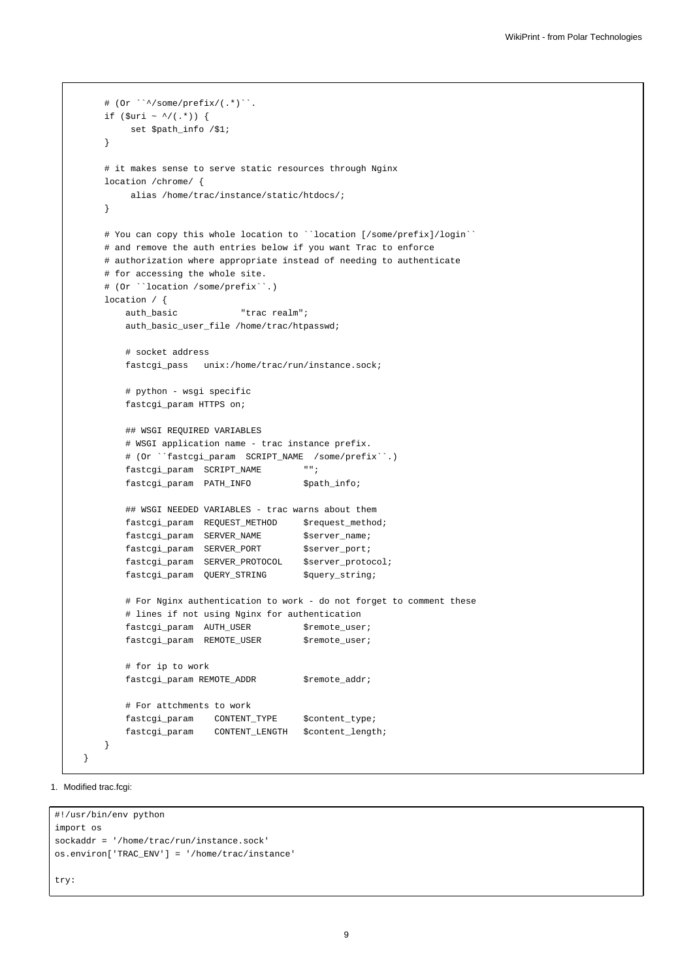```
# (Or ``^/some/prefix/(.*)``.
   if ($uri ~ ^/(.*)) {
        set $path_info /$1;
    }
   # it makes sense to serve static resources through Nginx
   location /chrome/ {
        alias /home/trac/instance/static/htdocs/;
   }
   # You can copy this whole location to ``location [/some/prefix]/login``
   # and remove the auth entries below if you want Trac to enforce
   # authorization where appropriate instead of needing to authenticate
   # for accessing the whole site.
   # (Or ``location /some/prefix``.)
   location / {
       auth_basic "trac realm";
       auth_basic_user_file /home/trac/htpasswd;
       # socket address
       fastcgi_pass unix:/home/trac/run/instance.sock;
       # python - wsgi specific
       fastcgi_param HTTPS on;
       ## WSGI REQUIRED VARIABLES
       # WSGI application name - trac instance prefix.
       # (Or ``fastcgi_param SCRIPT_NAME /some/prefix``.)
       fastcgi_param SCRIPT_NAME "";
       fastcgi_param PATH_INFO $path_info;
       ## WSGI NEEDED VARIABLES - trac warns about them
       {\tt fastcgi\_param\_REQUEST\_METHOD} \hspace{0.8cm} {\tt \$request\_method} \label{eq:3} ;fastcgi_param SERVER_NAME $server_name;
       fastcgi_param SERVER_PORT $server_port;
       fastcgi_param SERVER_PROTOCOL $server_protocol;
       fastcgi_param QUERY_STRING $query_string;
       # For Nginx authentication to work - do not forget to comment these
       # lines if not using Nginx for authentication
       fastcgi_param AUTH_USER $remote_user;
       fastcgi_param REMOTE_USER $remote_user;
       # for ip to work
       fastcgi_param REMOTE_ADDR $remote_addr;
       # For attchments to work
       fastcgi_param CONTENT_TYPE $content_type;
       fastcgi_param CONTENT_LENGTH $content_length;
   }
}
```
1. Modified trac.fcgi:

```
#!/usr/bin/env python
import os
sockaddr = '/home/trac/run/instance.sock'
os.environ['TRAC_ENV'] = '/home/trac/instance'
try:
```